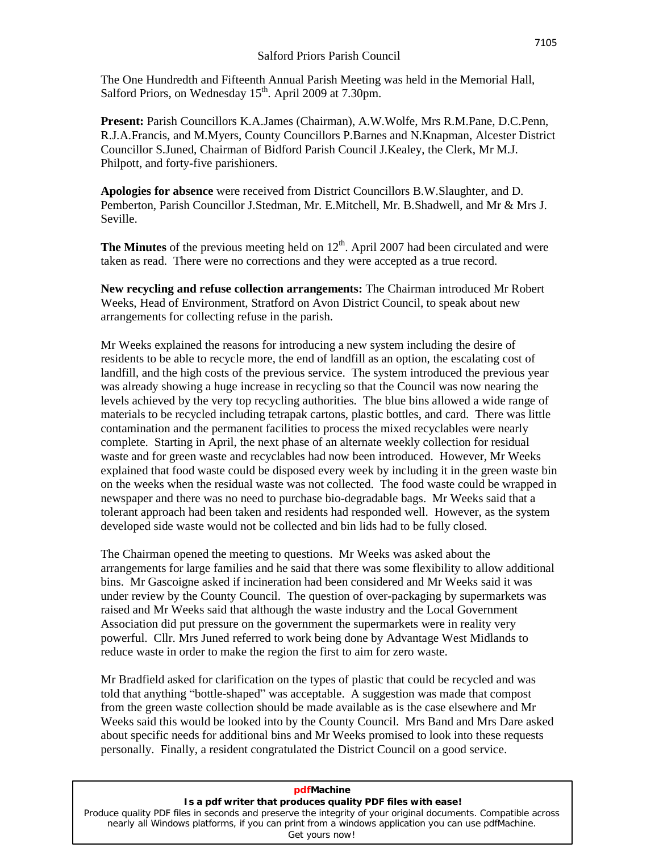The One Hundredth and Fifteenth Annual Parish Meeting was held in the Memorial Hall, Salford Priors, on Wednesday 15<sup>th</sup>. April 2009 at 7.30pm.

**Present:** Parish Councillors K.A.James (Chairman), A.W.Wolfe, Mrs R.M.Pane, D.C.Penn, R.J.A.Francis, and M.Myers, County Councillors P.Barnes and N.Knapman, Alcester District Councillor S.Juned, Chairman of Bidford Parish Council J.Kealey, the Clerk, Mr M.J. Philpott, and forty-five parishioners.

**Apologies for absence** were received from District Councillors B.W.Slaughter, and D. Pemberton, Parish Councillor J.Stedman, Mr. E.Mitchell, Mr. B.Shadwell, and Mr & Mrs J. Seville.

**The Minutes** of the previous meeting held on 12<sup>th</sup>. April 2007 had been circulated and were taken as read. There were no corrections and they were accepted as a true record.

**New recycling and refuse collection arrangements:** The Chairman introduced Mr Robert Weeks, Head of Environment, Stratford on Avon District Council, to speak about new arrangements for collecting refuse in the parish.

Mr Weeks explained the reasons for introducing a new system including the desire of residents to be able to recycle more, the end of landfill as an option, the escalating cost of landfill, and the high costs of the previous service. The system introduced the previous year was already showing a huge increase in recycling so that the Council was now nearing the levels achieved by the very top recycling authorities. The blue bins allowed a wide range of materials to be recycled including tetrapak cartons, plastic bottles, and card. There was little contamination and the permanent facilities to process the mixed recyclables were nearly complete. Starting in April, the next phase of an alternate weekly collection for residual waste and for green waste and recyclables had now been introduced. However, Mr Weeks explained that food waste could be disposed every week by including it in the green waste bin on the weeks when the residual waste was not collected. The food waste could be wrapped in newspaper and there was no need to purchase bio-degradable bags. Mr Weeks said that a tolerant approach had been taken and residents had responded well. However, as the system developed side waste would not be collected and bin lids had to be fully closed.

The Chairman opened the meeting to questions. Mr Weeks was asked about the arrangements for large families and he said that there was some flexibility to allow additional bins. Mr Gascoigne asked if incineration had been considered and Mr Weeks said it was under review by the County Council. The question of over-packaging by supermarkets was raised and Mr Weeks said that although the waste industry and the Local Government Association did put pressure on the government the supermarkets were in reality very powerful. Cllr. Mrs Juned referred to work being done by Advantage West Midlands to reduce waste in order to make the region the first to aim for zero waste.

Mr Bradfield asked for clarification on the types of plastic that could be recycled and was Mr Bradfield asked for clarification on the types of plastic that could be recycled and was<br>told that anything "bottle-shaped" was acceptable. A suggestion was made that compost from the green waste collection should be made available as is the case elsewhere and Mr Weeks said this would be looked into by the County Council. Mrs Band and Mrs Dare asked about specific needs for additional bins and Mr Weeks promised to look into these requests personally. Finally, a resident congratulated the District Council on a good service.

| pdfMachine                                                                                                                                                                                                                           |
|--------------------------------------------------------------------------------------------------------------------------------------------------------------------------------------------------------------------------------------|
| Is a pdf writer that produces quality PDF files with ease!                                                                                                                                                                           |
| Produce quality PDF files in seconds and preserve the integrity of your original documents. Compatible across<br>nearly all Windows platforms, if you can print from a windows application you can use pdfMachine.<br>Get yours now! |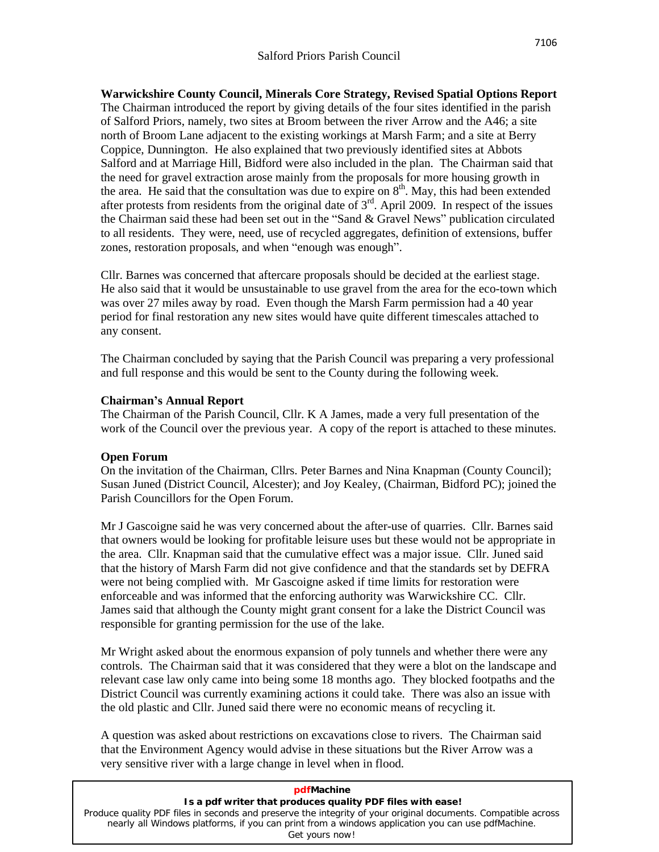**Warwickshire County Council, Minerals Core Strategy, Revised Spatial Options Report** The Chairman introduced the report by giving details of the four sites identified in the parish of Salford Priors, namely, two sites at Broom between the river Arrow and the A46; a site north of Broom Lane adjacent to the existing workings at Marsh Farm; and a site at Berry Coppice, Dunnington. He also explained that two previously identified sites at Abbots Salford and at Marriage Hill, Bidford were also included in the plan. The Chairman said that the need for gravel extraction arose mainly from the proposals for more housing growth in the area. He said that the consultation was due to expire on  $8<sup>th</sup>$ . May, this had been extended after protests from residents from the original date of  $3<sup>rd</sup>$ . April 2009. In respect of the issues the Chairman sa after protests from residents from the original date of  $3<sup>rd</sup>$ . April 2009. In respect of the issues to all residents. They were, need, use of recycled aggregates, definition of extensions, buffer the Chairman said these had been set out in the "Sand & Gravel News" publication circulated<br>to all residents. They were, need, use of recycled aggregates, definition of extensions, buffer<br>zones, restoration proposals, and

Cllr. Barnes was concerned that aftercare proposals should be decided at the earliest stage. He also said that it would be unsustainable to use gravel from the area for the eco-town which was over 27 miles away by road. Even though the Marsh Farm permission had a 40 year period for final restoration any new sites would have quite different timescales attached to any consent.

The Chairman concluded by saying that the Parish Council was preparing a very professional and fullresponse and this would be sent to the County during the following week. **Chairmaní<sup>s</sup> Annual Report**

The Chairman of the Parish Council, Cllr. K A James, made a very full presentation of the work of the Council over the previous year. A copy of the report is attached to these minutes.

## **Open Forum**

On the invitation of the Chairman, Cllrs. Peter Barnes and Nina Knapman (County Council); Susan Juned (District Council, Alcester); and Joy Kealey, (Chairman, Bidford PC); joined the Parish Councillors for the Open Forum.

Mr J Gascoigne said he was very concerned about the after-use of quarries. Cllr. Barnes said that owners would be looking for profitable leisure uses but these would not be appropriate in the area. Cllr. Knapman said that the cumulative effect was a major issue. Cllr. Juned said that the history of Marsh Farm did not give confidence and that the standards set by DEFRA were not being complied with. Mr Gascoigne asked if time limits for restoration were enforceable and was informed that the enforcing authority was Warwickshire CC. Cllr. James said that although the County might grant consent for a lake the District Council was responsible for granting permission for the use of the lake.

Mr Wright asked about the enormous expansion of poly tunnels and whether there were any controls. The Chairman said that it was considered that they were a blot on the landscape and relevant case law only came into being some 18 months ago. They blocked footpaths and the District Council was currently examining actions it could take. There was also an issue with the old plastic and Cllr. Juned said there were no economic means of recycling it.

A question was asked about restrictions on excavations close to rivers. The Chairman said that the Environment Agency would advise in these situations but the River Arrow was a very sensitive river with a large change in level when in flood.

| pdfMachine                                                                                                    |
|---------------------------------------------------------------------------------------------------------------|
| Is a pdf writer that produces quality PDF files with ease!                                                    |
| Produce quality PDF files in seconds and preserve the integrity of your original documents. Compatible across |
| nearly all Windows platforms, if you can print from a windows application you can use pdfMachine.             |
| Get yours now!                                                                                                |